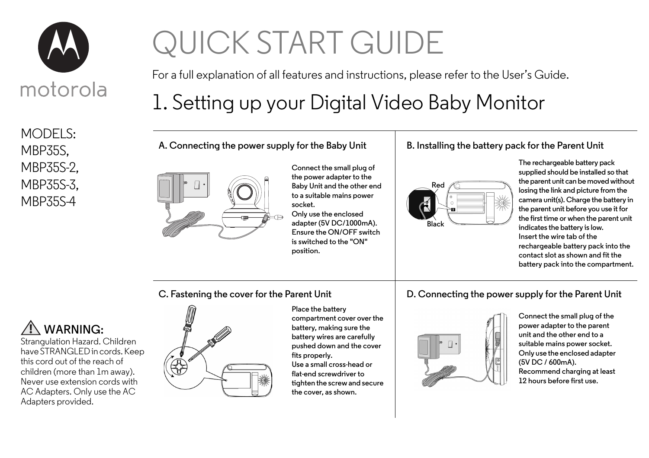

MODELS: MBP35S, MBP35S-2, MBP35S-3, MBP35S-4

# QUICK START GUIDE

For a full explanation of all features and instructions, please refer to the User's Guide.

# 1. Setting up your Digital Video Baby Monitor

**A. Connecting the power supply for the Baby Unit**



**Connect the small plug of the power adapter to the Baby Unit and the other end to a suitable mains power socket.**

**Only use the enclosed adapter (5V DC/1000mA). Ensure the ON/OFF switch is switched to the "ON" position.**

#### **B. Installing the battery pack for the Parent Unit**



**The rechargeable battery pack supplied should be installed so that the parent unit can be moved without losing the link and picture from the camera unit(s). Charge the battery in the parent unit before you use it for the first time or when the parent unit indicates the battery is low. Insert the wire tab of the rechargeable battery pack into the contact slot as shown and fit the battery pack into the compartment.**

**C. Fastening the cover for the Parent Unit**

## **WARNING:**

Strangulation Hazard. Children have STRANGLED in cords. Keep this cord out of the reach of children (more than 1m away). Never use extension cords with AC Adapters. Only use the AC Adapters provided.



**Place the battery compartment cover over the battery, making sure the battery wires are carefully pushed down and the cover fits properly. Use a small cross-head or flat-end screwdriver to tighten the screw and secure the cover, as shown.**

### **D. Connecting the power supply for the Parent Unit**



**Connect the small plug of the power adapter to the parent unit and the other end to a suitable mains power socket. Only use the enclosed adapter (5V DC / 600mA). Recommend charging at least 12 hours before first use.**